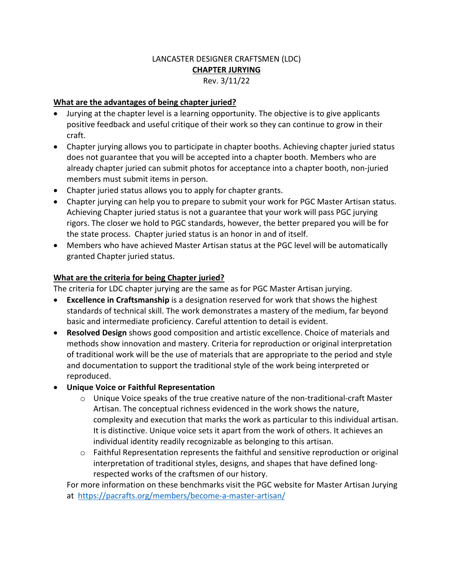# LANCASTER DESIGNER CRAFTSMEN (LDC) **CHAPTER JURYING** Rev. 3/11/22

### **What are the advantages of being chapter juried?**

- Jurying at the chapter level is a learning opportunity. The objective is to give applicants positive feedback and useful critique of their work so they can continue to grow in their craft.
- Chapter jurying allows you to participate in chapter booths. Achieving chapter juried status does not guarantee that you will be accepted into a chapter booth. Members who are already chapter juried can submit photos for acceptance into a chapter booth, non-juried members must submit items in person.
- Chapter juried status allows you to apply for chapter grants.
- Chapter jurying can help you to prepare to submit your work for PGC Master Artisan status. Achieving Chapter juried status is not a guarantee that your work will pass PGC jurying rigors. The closer we hold to PGC standards, however, the better prepared you will be for the state process. Chapter juried status is an honor in and of itself.
- Members who have achieved Master Artisan status at the PGC level will be automatically granted Chapter juried status.

## **What are the criteria for being Chapter juried?**

The criteria for LDC chapter jurying are the same as for PGC Master Artisan jurying.

- **Excellence in Craftsmanship** is a designation reserved for work that shows the highest standards of technical skill. The work demonstrates a mastery of the medium, far beyond basic and intermediate proficiency. Careful attention to detail is evident.
- **Resolved Design** shows good composition and artistic excellence. Choice of materials and methods show innovation and mastery. Criteria for reproduction or original interpretation of traditional work will be the use of materials that are appropriate to the period and style and documentation to support the traditional style of the work being interpreted or reproduced.
- **Unique Voice or Faithful Representation**
	- $\circ$  Unique Voice speaks of the true creative nature of the non-traditional-craft Master Artisan. The conceptual richness evidenced in the work shows the nature, complexity and execution that marks the work as particular to this individual artisan. It is distinctive. Unique voice sets it apart from the work of others. It achieves an individual identity readily recognizable as belonging to this artisan.
	- $\circ$  Faithful Representation represents the faithful and sensitive reproduction or original interpretation of traditional styles, designs, and shapes that have defined longrespected works of the craftsmen of our history.

For more information on these benchmarks visit the PGC website for Master Artisan Jurying at https://pacrafts.org/members/become-a-master-artisan/